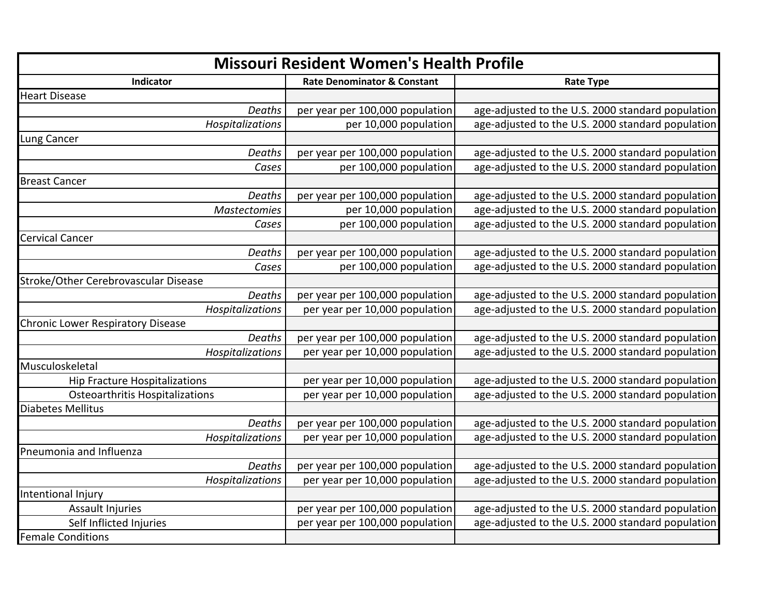| <b>Missouri Resident Women's Health Profile</b> |                                        |                                                   |
|-------------------------------------------------|----------------------------------------|---------------------------------------------------|
| Indicator                                       | <b>Rate Denominator &amp; Constant</b> | <b>Rate Type</b>                                  |
| <b>Heart Disease</b>                            |                                        |                                                   |
| Deaths                                          | per year per 100,000 population        | age-adjusted to the U.S. 2000 standard population |
| Hospitalizations                                | per 10,000 population                  | age-adjusted to the U.S. 2000 standard population |
| Lung Cancer                                     |                                        |                                                   |
| Deaths                                          | per year per 100,000 population        | age-adjusted to the U.S. 2000 standard population |
| Cases                                           | per 100,000 population                 | age-adjusted to the U.S. 2000 standard population |
| <b>Breast Cancer</b>                            |                                        |                                                   |
| Deaths                                          | per year per 100,000 population        | age-adjusted to the U.S. 2000 standard population |
| <b>Mastectomies</b>                             | per 10,000 population                  | age-adjusted to the U.S. 2000 standard population |
| Cases                                           | per 100,000 population                 | age-adjusted to the U.S. 2000 standard population |
| <b>Cervical Cancer</b>                          |                                        |                                                   |
| Deaths                                          | per year per 100,000 population        | age-adjusted to the U.S. 2000 standard population |
| Cases                                           | per 100,000 population                 | age-adjusted to the U.S. 2000 standard population |
| Stroke/Other Cerebrovascular Disease            |                                        |                                                   |
| Deaths                                          | per year per 100,000 population        | age-adjusted to the U.S. 2000 standard population |
| Hospitalizations                                | per year per 10,000 population         | age-adjusted to the U.S. 2000 standard population |
| <b>Chronic Lower Respiratory Disease</b>        |                                        |                                                   |
| Deaths                                          | per year per 100,000 population        | age-adjusted to the U.S. 2000 standard population |
| Hospitalizations                                | per year per 10,000 population         | age-adjusted to the U.S. 2000 standard population |
| Musculoskeletal                                 |                                        |                                                   |
| <b>Hip Fracture Hospitalizations</b>            | per year per 10,000 population         | age-adjusted to the U.S. 2000 standard population |
| <b>Osteoarthritis Hospitalizations</b>          | per year per 10,000 population         | age-adjusted to the U.S. 2000 standard population |
| Diabetes Mellitus                               |                                        |                                                   |
| Deaths                                          | per year per 100,000 population        | age-adjusted to the U.S. 2000 standard population |
| Hospitalizations                                | per year per 10,000 population         | age-adjusted to the U.S. 2000 standard population |
| Pneumonia and Influenza                         |                                        |                                                   |
| Deaths                                          | per year per 100,000 population        | age-adjusted to the U.S. 2000 standard population |
| Hospitalizations                                | per year per 10,000 population         | age-adjusted to the U.S. 2000 standard population |
| Intentional Injury                              |                                        |                                                   |
| <b>Assault Injuries</b>                         | per year per 100,000 population        | age-adjusted to the U.S. 2000 standard population |
| Self Inflicted Injuries                         | per year per 100,000 population        | age-adjusted to the U.S. 2000 standard population |
| <b>Female Conditions</b>                        |                                        |                                                   |